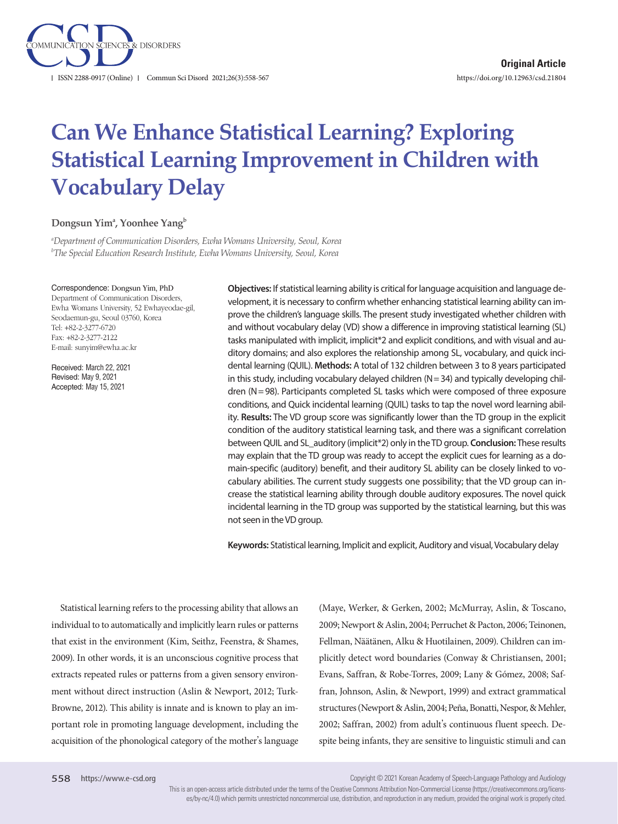

# **Can We Enhance Statistical Learning? Exploring Statistical Learning Improvement in Children with Vocabulary Delay**

**Dongsun Yima , Yoonhee Yangb**

*a Department of Communication Disorders, Ewha Womans University, Seoul, Korea b The Special Education Research Institute, Ewha Womans University, Seoul, Korea*

#### Correspondence: Dongsun Yim, PhD

Department of Communication Disorders, Ewha Womans University, 52 Ewhayeodae-gil, Seodaemun-gu, Seoul 03760, Korea Tel: +82-2-3277-6720 Fax: +82-2-3277-2122 E-mail: sunyim@ewha.ac.kr

Received: March 22, 2021 Revised: May 9, 2021 Accepted: May 15, 2021

**Objectives:** If statistical learning ability is critical for language acquisition and language development, it is necessary to confirm whether enhancing statistical learning ability can improve the children's language skills. The present study investigated whether children with and without vocabulary delay (VD) show a difference in improving statistical learning (SL) tasks manipulated with implicit, implicit\*2 and explicit conditions, and with visual and auditory domains; and also explores the relationship among SL, vocabulary, and quick incidental learning (QUIL). **Methods:** A total of 132 children between 3 to 8 years participated in this study, including vocabulary delayed children  $(N=34)$  and typically developing children (N = 98). Participants completed SL tasks which were composed of three exposure conditions, and Quick incidental learning (QUIL) tasks to tap the novel word learning ability. **Results:** The VD group score was significantly lower than the TD group in the explicit condition of the auditory statistical learning task, and there was a significant correlation between QUIL and SL\_auditory (implicit\*2) only in the TD group. **Conclusion:** These results may explain that the TD group was ready to accept the explicit cues for learning as a domain-specific (auditory) benefit, and their auditory SL ability can be closely linked to vocabulary abilities. The current study suggests one possibility; that the VD group can increase the statistical learning ability through double auditory exposures. The novel quick incidental learning in the TD group was supported by the statistical learning, but this was not seen in the VD group.

**Keywords:** Statistical learning, Implicit and explicit, Auditory and visual, Vocabulary delay

Statistical learning refers to the processing ability that allows an individual to to automatically and implicitly learn rules or patterns that exist in the environment (Kim, Seithz, Feenstra, & Shames, 2009). In other words, it is an unconscious cognitive process that extracts repeated rules or patterns from a given sensory environment without direct instruction (Aslin & Newport, 2012; Turk-Browne, 2012). This ability is innate and is known to play an important role in promoting language development, including the acquisition of the phonological category of the mother's language (Maye, Werker, & Gerken, 2002; McMurray, Aslin, & Toscano, 2009; Newport & Aslin, 2004; Perruchet & Pacton, 2006; Teinonen, Fellman, Näätänen, Alku & Huotilainen, 2009). Children can implicitly detect word boundaries (Conway & Christiansen, 2001; Evans, Saffran, & Robe-Torres, 2009; Lany & Gómez, 2008; Saffran, Johnson, Aslin, & Newport, 1999) and extract grammatical structures (Newport & Aslin, 2004; Peña, Bonatti, Nespor, & Mehler, 2002; Saffran, 2002) from adult's continuous fluent speech. Despite being infants, they are sensitive to linguistic stimuli and can

Copyright © 2021 Korean Academy of Speech-Language Pathology and Audiology

This is an open-access article distributed under the terms of the Creative Commons Attribution Non-Commercial License (https://creativecommons.org/licenses/by-nc/4.0) which permits unrestricted noncommercial use, distribution, and reproduction in any medium, provided the original work is properly cited.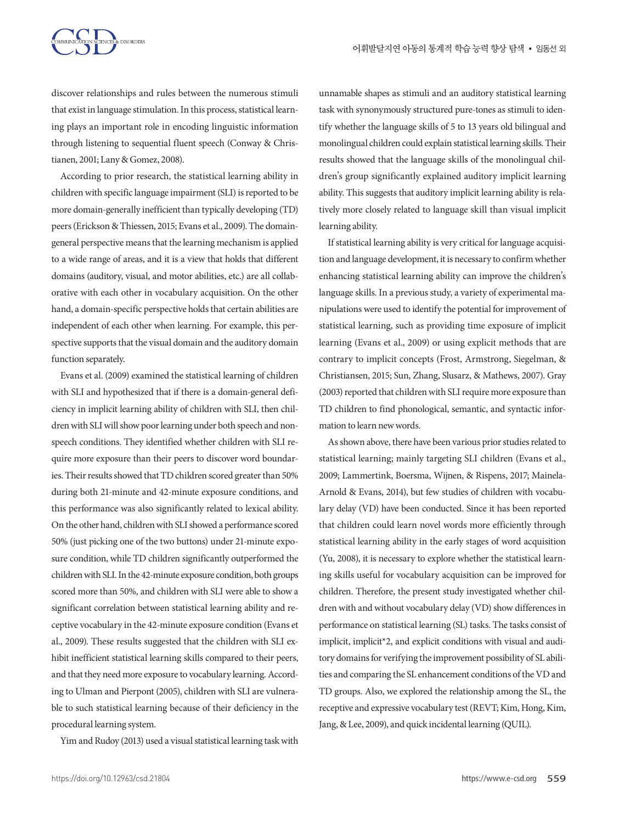discover relationships and rules between the numerous stimuli that exist in language stimulation. In this process, statistical learning plays an important role in encoding linguistic information through listening to sequential fluent speech (Conway & Christianen, 2001; Lany & Gomez, 2008).

According to prior research, the statistical learning ability in children with specific language impairment (SLI) is reported to be more domain-generally inefficient than typically developing (TD) peers (Erickson & Thiessen, 2015; Evans et al., 2009). The domaingeneral perspective means that the learning mechanism is applied to a wide range of areas, and it is a view that holds that different domains (auditory, visual, and motor abilities, etc.) are all collaborative with each other in vocabulary acquisition. On the other hand, a domain-specific perspective holds that certain abilities are independent of each other when learning. For example, this perspective supports that the visual domain and the auditory domain function separately.

Evans et al. (2009) examined the statistical learning of children with SLI and hypothesized that if there is a domain-general deficiency in implicit learning ability of children with SLI, then children with SLI will show poor learning under both speech and nonspeech conditions. They identified whether children with SLI require more exposure than their peers to discover word boundaries. Their results showed that TD children scored greater than 50% during both 21-minute and 42-minute exposure conditions, and this performance was also significantly related to lexical ability. On the other hand, children with SLI showed a performance scored 50% (just picking one of the two buttons) under 21-minute exposure condition, while TD children significantly outperformed the children with SLI. In the 42-minute exposure condition, both groups scored more than 50%, and children with SLI were able to show a significant correlation between statistical learning ability and receptive vocabulary in the 42-minute exposure condition (Evans et al., 2009). These results suggested that the children with SLI exhibit inefficient statistical learning skills compared to their peers, and that they need more exposure to vocabulary learning. According to Ulman and Pierpont (2005), children with SLI are vulnerable to such statistical learning because of their deficiency in the procedural learning system.

Yim and Rudoy (2013) used a visual statistical learning task with

unnamable shapes as stimuli and an auditory statistical learning task with synonymously structured pure-tones as stimuli to identify whether the language skills of 5 to 13 years old bilingual and monolingual children could explain statistical learning skills. Their results showed that the language skills of the monolingual children's group significantly explained auditory implicit learning ability. This suggests that auditory implicit learning ability is relatively more closely related to language skill than visual implicit learning ability.

If statistical learning ability is very critical for language acquisition and language development, it is necessary to confirm whether enhancing statistical learning ability can improve the children's language skills. In a previous study, a variety of experimental manipulations were used to identify the potential for improvement of statistical learning, such as providing time exposure of implicit learning (Evans et al., 2009) or using explicit methods that are contrary to implicit concepts (Frost, Armstrong, Siegelman, & Christiansen, 2015; Sun, Zhang, Slusarz, & Mathews, 2007). Gray (2003) reported that children with SLI require more exposure than TD children to find phonological, semantic, and syntactic information to learn new words.

As shown above, there have been various prior studies related to statistical learning; mainly targeting SLI children (Evans et al., 2009; Lammertink, Boersma, Wijnen, & Rispens, 2017; Mainela-Arnold & Evans, 2014), but few studies of children with vocabulary delay (VD) have been conducted. Since it has been reported that children could learn novel words more efficiently through statistical learning ability in the early stages of word acquisition (Yu, 2008), it is necessary to explore whether the statistical learning skills useful for vocabulary acquisition can be improved for children. Therefore, the present study investigated whether children with and without vocabulary delay (VD) show differences in performance on statistical learning (SL) tasks. The tasks consist of implicit, implicit\*2, and explicit conditions with visual and auditory domains for verifying the improvement possibility of SL abilities and comparing the SL enhancement conditions of the VD and TD groups. Also, we explored the relationship among the SL, the receptive and expressive vocabulary test (REVT; Kim, Hong, Kim, Jang, & Lee, 2009), and quick incidental learning (QUIL).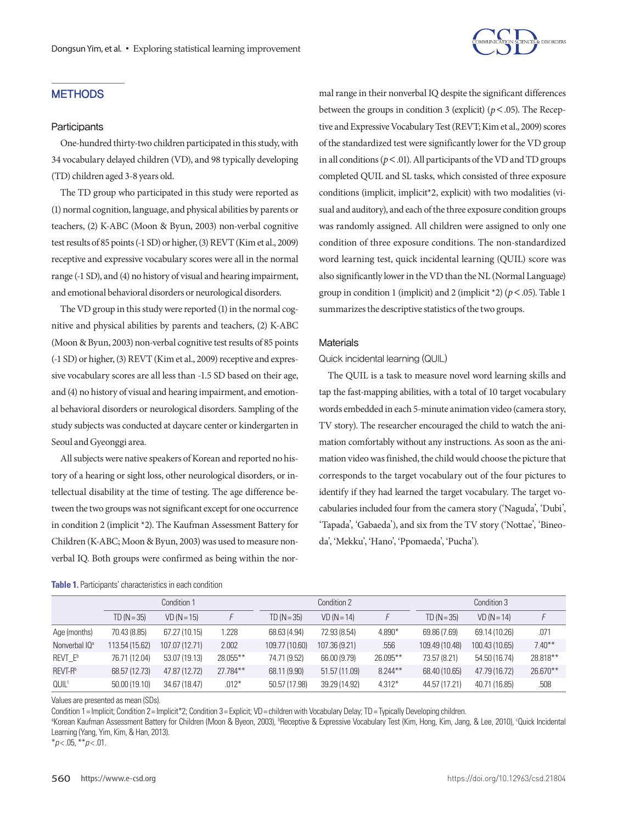

## **METHODS**

### **Participants**

One-hundred thirty-two children participated in this study, with 34 vocabulary delayed children (VD), and 98 typically developing (TD) children aged 3-8 years old.

The TD group who participated in this study were reported as (1) normal cognition, language, and physical abilities by parents or teachers, (2) K-ABC (Moon & Byun, 2003) non-verbal cognitive test results of 85 points (-1 SD) or higher, (3) REVT (Kim et al., 2009) receptive and expressive vocabulary scores were all in the normal range (-1 SD), and (4) no history of visual and hearing impairment, and emotional behavioral disorders or neurological disorders.

The VD group in this study were reported (1) in the normal cognitive and physical abilities by parents and teachers, (2) K-ABC (Moon & Byun, 2003) non-verbal cognitive test results of 85 points (-1 SD) or higher, (3) REVT (Kim et al., 2009) receptive and expressive vocabulary scores are all less than -1.5 SD based on their age, and (4) no history of visual and hearing impairment, and emotional behavioral disorders or neurological disorders. Sampling of the study subjects was conducted at daycare center or kindergarten in Seoul and Gyeonggi area.

All subjects were native speakers of Korean and reported no history of a hearing or sight loss, other neurological disorders, or intellectual disability at the time of testing. The age difference between the two groups was not significant except for one occurrence in condition 2 (implicit \*2). The Kaufman Assessment Battery for Children (K-ABC; Moon & Byun, 2003) was used to measure nonverbal IQ. Both groups were confirmed as being within the normal range in their nonverbal IQ despite the significant differences between the groups in condition 3 (explicit) (*p*<.05). The Receptive and Expressive Vocabulary Test (REVT; Kim et al., 2009) scores of the standardized test were significantly lower for the VD group in all conditions ( $p < .01$ ). All participants of the VD and TD groups completed QUIL and SL tasks, which consisted of three exposure conditions (implicit, implicit\*2, explicit) with two modalities (visual and auditory), and each of the three exposure condition groups was randomly assigned. All children were assigned to only one condition of three exposure conditions. The non-standardized word learning test, quick incidental learning (QUIL) score was also significantly lower in the VD than the NL (Normal Language) group in condition 1 (implicit) and 2 (implicit \*2) (*p*<.05). Table 1 summarizes the descriptive statistics of the two groups.

#### **Materials**

#### Quick incidental learning (QUIL)

The QUIL is a task to measure novel word learning skills and tap the fast-mapping abilities, with a total of 10 target vocabulary words embedded in each 5-minute animation video (camera story, TV story). The researcher encouraged the child to watch the animation comfortably without any instructions. As soon as the animation video was finished, the child would choose the picture that corresponds to the target vocabulary out of the four pictures to identify if they had learned the target vocabulary. The target vocabularies included four from the camera story ('Naguda', 'Dubi', 'Tapada', 'Gabaeda'), and six from the TV story ('Nottae', 'Bineoda', 'Mekku', 'Hano', 'Ppomaeda', 'Pucha').

|                           | Condition 1    |                |            | Condition 2    |               |            | Condition 3    |                |           |
|---------------------------|----------------|----------------|------------|----------------|---------------|------------|----------------|----------------|-----------|
|                           | $TD (N = 35)$  | $VD (N = 15)$  |            | $TD (N = 35)$  | $VD (N = 14)$ |            | $TD(N=35)$     | $VD (N = 14)$  |           |
| Age (months)              | 70.43 (8.85)   | 67.27 (10.15)  | 1.228      | 68.63 (4.94)   | 72.93 (8.54)  | 4.890*     | 69.86 (7.69)   | 69.14 (10.26)  | .071      |
| Nonverbal IQ <sup>a</sup> | 113.54 (15.62) | 107.07 (12.71) | 2.002      | 109.77 (10.60) | 107.36 (9.21) | .556       | 109.49 (10.48) | 100.43 (10.65) | $7.40***$ |
| REVT E <sup>b</sup>       | 76.71 (12.04)  | 53.07 (19.13)  | 28.055**   | 74.71 (9.52)   | 66.00 (9.79)  | 26.095**   | 73.57 (8.21)   | 54.50 (16.74)  | 28.818**  |
| REVT-R <sup>b</sup>       | 68.57 (12.73)  | 47.87 (12.72)  | $27.784**$ | 68.11 (9.90)   | 51.57 (11.09) | $8.244***$ | 68.40 (10.65)  | 47.79 (16.72)  | 26.670**  |
| <b>QUIL</b> <sup>c</sup>  | 50.00 (19.10)  | 34.67 (18.47)  | $.012*$    | 50.57 (17.98)  | 39.29 (14.92) | $4.312*$   | 44.57 (17.21)  | 40.71 (16.85)  | .508      |

| Table 1. Participants' characteristics in each condition |  |  |  |
|----------------------------------------------------------|--|--|--|
|----------------------------------------------------------|--|--|--|

Values are presented as mean (SDs).

Condition 1= Implicit; Condition 2= Implicit\*2; Condition 3= Explicit; VD= children with Vocabulary Delay; TD= Typically Developing children.

<sup>a</sup>Korean Kaufman Assessment Battery for Children (Moon & Byeon, 2003), <sup>b</sup>Receptive & Expressive Vocabulary Test (Kim, Hong, Kim, Jang, & Lee, 2010), °Quick Incidental Learning (Yang, Yim, Kim, & Han, 2013).

\**p* < .05, \*\**p* < .01.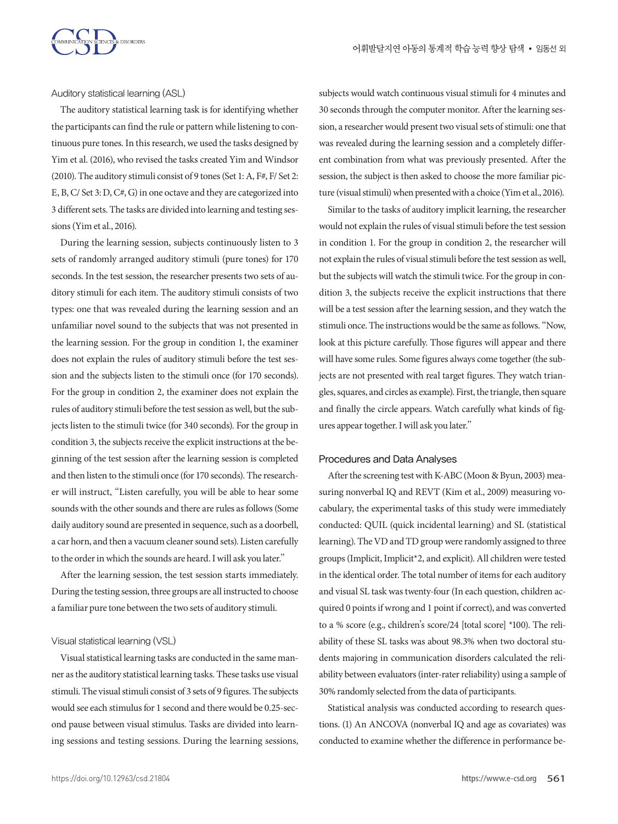

Auditory statistical learning (ASL)

The auditory statistical learning task is for identifying whether the participants can find the rule or pattern while listening to continuous pure tones. In this research, we used the tasks designed by Yim et al. (2016), who revised the tasks created Yim and Windsor (2010). The auditory stimuli consist of 9 tones (Set 1: A, F#, F/ Set 2: E, B, C/ Set 3: D, C#, G) in one octave and they are categorized into 3 different sets. The tasks are divided into learning and testing sessions (Yim et al., 2016).

During the learning session, subjects continuously listen to 3 sets of randomly arranged auditory stimuli (pure tones) for 170 seconds. In the test session, the researcher presents two sets of auditory stimuli for each item. The auditory stimuli consists of two types: one that was revealed during the learning session and an unfamiliar novel sound to the subjects that was not presented in the learning session. For the group in condition 1, the examiner does not explain the rules of auditory stimuli before the test session and the subjects listen to the stimuli once (for 170 seconds). For the group in condition 2, the examiner does not explain the rules of auditory stimuli before the test session as well, but the subjects listen to the stimuli twice (for 340 seconds). For the group in condition 3, the subjects receive the explicit instructions at the beginning of the test session after the learning session is completed and then listen to the stimuli once (for 170 seconds). The researcher will instruct, "Listen carefully, you will be able to hear some sounds with the other sounds and there are rules as follows (Some daily auditory sound are presented in sequence, such as a doorbell, a car horn, and then a vacuum cleaner sound sets). Listen carefully to the order in which the sounds are heard. I will ask you later."

After the learning session, the test session starts immediately. During the testing session, three groups are all instructed to choose a familiar pure tone between the two sets of auditory stimuli.

## Visual statistical learning (VSL)

Visual statistical learning tasks are conducted in the same manner as the auditory statistical learning tasks. These tasks use visual stimuli. The visual stimuli consist of 3 sets of 9 figures. The subjects would see each stimulus for 1 second and there would be 0.25-second pause between visual stimulus. Tasks are divided into learning sessions and testing sessions. During the learning sessions, subjects would watch continuous visual stimuli for 4 minutes and 30 seconds through the computer monitor. After the learning session, a researcher would present two visual sets of stimuli: one that was revealed during the learning session and a completely different combination from what was previously presented. After the session, the subject is then asked to choose the more familiar picture (visual stimuli) when presented with a choice (Yim et al., 2016).

Similar to the tasks of auditory implicit learning, the researcher would not explain the rules of visual stimuli before the test session in condition 1. For the group in condition 2, the researcher will not explain the rules of visual stimuli before the test session as well, but the subjects will watch the stimuli twice. For the group in condition 3, the subjects receive the explicit instructions that there will be a test session after the learning session, and they watch the stimuli once. The instructions would be the same as follows. "Now, look at this picture carefully. Those figures will appear and there will have some rules. Some figures always come together (the subjects are not presented with real target figures. They watch triangles, squares, and circles as example). First, the triangle, then square and finally the circle appears. Watch carefully what kinds of figures appear together. I will ask you later."

#### Procedures and Data Analyses

After the screening test with K-ABC (Moon & Byun, 2003) measuring nonverbal IQ and REVT (Kim et al., 2009) measuring vocabulary, the experimental tasks of this study were immediately conducted: QUIL (quick incidental learning) and SL (statistical learning). The VD and TD group were randomly assigned to three groups (Implicit, Implicit\*2, and explicit). All children were tested in the identical order. The total number of items for each auditory and visual SL task was twenty-four (In each question, children acquired 0 points if wrong and 1 point if correct), and was converted to a % score (e.g., children's score/24 [total score] \*100). The reliability of these SL tasks was about 98.3% when two doctoral students majoring in communication disorders calculated the reliability between evaluators (inter-rater reliability) using a sample of 30% randomly selected from the data of participants.

Statistical analysis was conducted according to research questions. (1) An ANCOVA (nonverbal IQ and age as covariates) was conducted to examine whether the difference in performance be-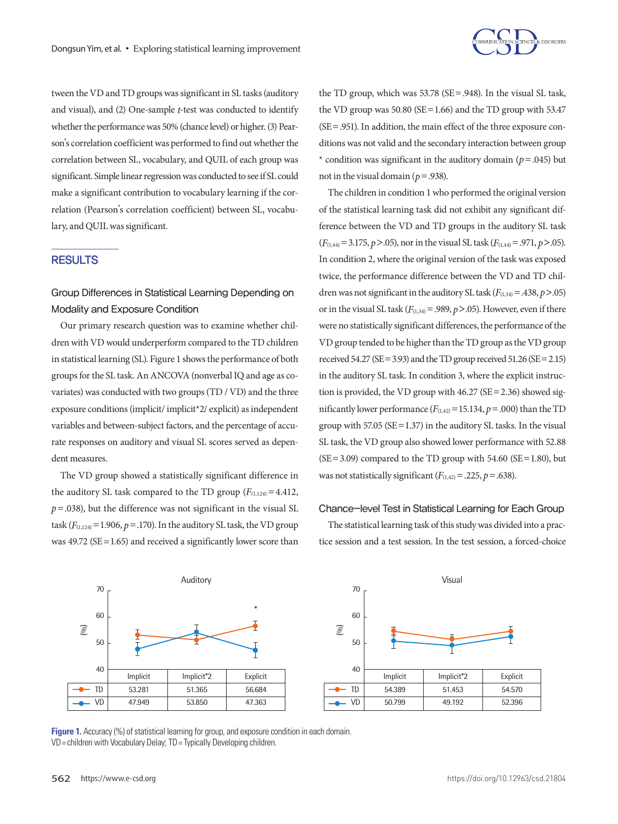

tween the VD and TD groups was significant in SL tasks (auditory and visual), and (2) One-sample *t*-test was conducted to identify whether the performance was 50% (chance level) or higher. (3) Pearson's correlation coefficient was performed to find out whether the correlation between SL, vocabulary, and QUIL of each group was significant. Simple linear regression was conducted to see if SL could make a significant contribution to vocabulary learning if the correlation (Pearson's correlation coefficient) between SL, vocabulary, and QUIL was significant.

## RESULTS

# Group Differences in Statistical Learning Depending on Modality and Exposure Condition

Our primary research question was to examine whether children with VD would underperform compared to the TD children in statistical learning (SL). Figure 1 shows the performance of both groups for the SL task. An ANCOVA (nonverbal IQ and age as covariates) was conducted with two groups (TD / VD) and the three exposure conditions (implicit/implicit\*2/ explicit) as independent variables and between-subject factors, and the percentage of accurate responses on auditory and visual SL scores served as dependent measures.

The VD group showed a statistically significant difference in the auditory SL task compared to the TD group  $(F_{(1,124)} = 4.412)$ ,  $p = .038$ ), but the difference was not significant in the visual SL task  $(F_{(1,124)}=1.906, p=.170)$ . In the auditory SL task, the VD group was  $49.72$  (SE = 1.65) and received a significantly lower score than

the TD group, which was 53.78 (SE=.948). In the visual SL task, the VD group was  $50.80$  (SE=1.66) and the TD group with  $53.47$ (SE=.951). In addition, the main effect of the three exposure conditions was not valid and the secondary interaction between group \* condition was significant in the auditory domain ( $p = .045$ ) but not in the visual domain ( $p = .938$ ).

The children in condition 1 who performed the original version of the statistical learning task did not exhibit any significant difference between the VD and TD groups in the auditory SL task  $(F<sub>(1,44)</sub> = 3.175, p > .05)$ , nor in the visual SL task  $(F<sub>(1,44)</sub> = .971, p > .05)$ . In condition 2, where the original version of the task was exposed twice, the performance difference between the VD and TD children was not significant in the auditory SL task  $(F<sub>(1,34)</sub> = .438, p > .05)$ or in the visual SL task  $(F_{(1,34)} = .989, p > .05)$ . However, even if there were no statistically significant differences, the performance of the VD group tended to be higher than the TD group as the VD group received  $54.27$  (SE = 3.93) and the TD group received  $51.26$  (SE = 2.15) in the auditory SL task. In condition 3, where the explicit instruction is provided, the VD group with 46.27 (SE=2.36) showed significantly lower performance  $(F_{(1,42)}=15.134, p=.000)$  than the TD group with 57.05 ( $SE = 1.37$ ) in the auditory SL tasks. In the visual SL task, the VD group also showed lower performance with 52.88  $(SE = 3.09)$  compared to the TD group with 54.60  $(SE = 1.80)$ , but was not statistically significant  $(F_{(1,42)} = .225, p = .638)$ .

## Chance-level Test in Statistical Learning for Each Group

The statistical learning task of this study was divided into a practice session and a test session. In the test session, a forced-choice



**Figure 1.** Accuracy (%) of statistical learning for group, and exposure condition in each domain. VD= children with Vocabulary Delay; TD= Typically Developing children.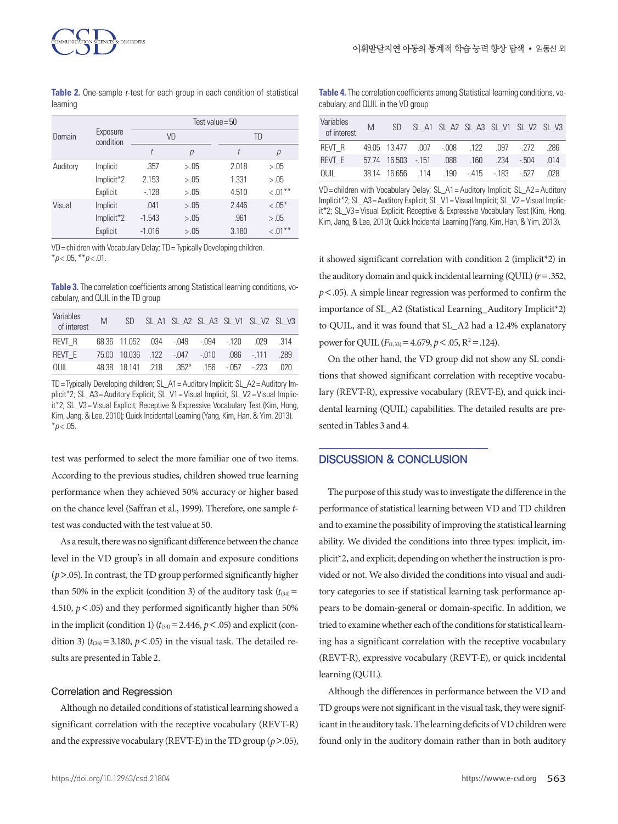**Table 2.** One-sample *t*-test for each group in each condition of statistical learning

|          |                       | Test value = $50$ |        |       |           |  |  |  |
|----------|-----------------------|-------------------|--------|-------|-----------|--|--|--|
| Domain   | Exposure<br>condition |                   | VD     | TD    |           |  |  |  |
|          |                       | t                 | р      | t     | р         |  |  |  |
| Auditory | Implicit              | .357              | > .05  | 2.018 | > .05     |  |  |  |
|          | Implicit*2            | 2.153             | > 0.05 | 1.331 | > 0.05    |  |  |  |
|          | Explicit              | $-128$            | > 0.05 | 4.510 | $< 01***$ |  |  |  |
| Visual   | Implicit              | .041              | > 0.05 | 2.446 | $< .05*$  |  |  |  |
|          | Implicit*2            | $-1.543$          | > .05  | .961  | > .05     |  |  |  |
|          | Explicit              | $-1.016$          | > .05  | 3.180 | $< 01***$ |  |  |  |

VD= children with Vocabulary Delay; TD= Typically Developing children. \**p* < .05, \*\**p* < .01.

**Table 3.** The correlation coefficients among Statistical learning conditions, vocabulary, and QUIL in the TD group

| Variables<br>of interest | M |                                          |  |  | SD SL_A1 SL_A2 SL_A3 SL_V1 SL_V2 SL_V3        |     |
|--------------------------|---|------------------------------------------|--|--|-----------------------------------------------|-----|
| REVT R                   |   |                                          |  |  | 68.36 11.052 .034 -.049 -.094 -.120 .029 .314 |     |
| REVT E                   |   |                                          |  |  | 75.00 10.036 .122 -.047 -.010 .086 -.111 .289 |     |
| QUIL                     |   | 48.38 18.141 .218 .352* .156 -.057 -.223 |  |  |                                               | በ2በ |

TD= Typically Developing children; SL\_A1= Auditory Implicit; SL\_A2= Auditory Implicit\*2; SL\_A3= Auditory Explicit; SL\_V1= Visual Implicit; SL\_V2= Visual Implicit\*2; SL\_V3= Visual Explicit; Receptive & Expressive Vocabulary Test (Kim, Hong, Kim, Jang, & Lee, 2010); Quick Incidental Learning (Yang, Kim, Han, & Yim, 2013).  $*$ *p* < .05.

test was performed to select the more familiar one of two items. According to the previous studies, children showed true learning performance when they achieved 50% accuracy or higher based on the chance level (Saffran et al., 1999). Therefore, one sample *t*test was conducted with the test value at 50.

As a result, there was no significant difference between the chance level in the VD group's in all domain and exposure conditions (*p*>.05). In contrast, the TD group performed significantly higher than 50% in the explicit (condition 3) of the auditory task  $(t_{34})$ = 4.510,  $p < .05$ ) and they performed significantly higher than 50% in the implicit (condition 1)  $(t_{34}) = 2.446$ ,  $p < .05$ ) and explicit (condition 3) ( $t_{(34)}$  = 3.180,  $p < .05$ ) in the visual task. The detailed results are presented in Table 2.

#### Correlation and Regression

Although no detailed conditions of statistical learning showed a significant correlation with the receptive vocabulary (REVT-R) and the expressive vocabulary (REVT-E) in the TD group (*p*>.05),

**Table 4.** The correlation coefficients among Statistical learning conditions, vocabulary, and QUIL in the VD group

| Variables<br>of interest |  | M SD SL_A1 SL_A2 SL_A3 SL_V1 SL_V2 SL_V3     |  |     |
|--------------------------|--|----------------------------------------------|--|-----|
| REVT R                   |  | 49.05 13.477 .007 -.008 .122 .097 -.272 .286 |  |     |
| REVT E                   |  | 57.74 16.503 - 151 .088 .160 .234 - 504 .014 |  |     |
| OUIL                     |  | 38.14 16.656 .114 .190 -.415 -.183 -.527     |  | በ28 |

VD= children with Vocabulary Delay; SL\_A1= Auditory Implicit; SL\_A2= Auditory Implicit\*2; SL\_A3= Auditory Explicit; SL\_V1= Visual Implicit; SL\_V2= Visual Implicit\*2; SL\_V3= Visual Explicit; Receptive & Expressive Vocabulary Test (Kim, Hong, Kim, Jang, & Lee, 2010); Quick Incidental Learning (Yang, Kim, Han, & Yim, 2013).

it showed significant correlation with condition 2 (implicit\*2) in the auditory domain and quick incidental learning (QUIL) (*r*=.352, *p*<.05). A simple linear regression was performed to confirm the importance of SL\_A2 (Statistical Learning\_Auditory Implicit\*2) to QUIL, and it was found that SL\_A2 had a 12.4% explanatory power for QUIL  $(F_{(1,33)} = 4.679, p < .05, R^2 = .124)$ .

On the other hand, the VD group did not show any SL conditions that showed significant correlation with receptive vocabulary (REVT-R), expressive vocabulary (REVT-E), and quick incidental learning (QUIL) capabilities. The detailed results are presented in Tables 3 and 4.

## DISCUSSION & CONCLUSION

The purpose of this study was to investigate the difference in the performance of statistical learning between VD and TD children and to examine the possibility of improving the statistical learning ability. We divided the conditions into three types: implicit, implicit\*2, and explicit; depending on whether the instruction is provided or not. We also divided the conditions into visual and auditory categories to see if statistical learning task performance appears to be domain-general or domain-specific. In addition, we tried to examine whether each of the conditions for statistical learning has a significant correlation with the receptive vocabulary (REVT-R), expressive vocabulary (REVT-E), or quick incidental learning (QUIL).

Although the differences in performance between the VD and TD groups were not significant in the visual task, they were significant in the auditory task. The learning deficits of VD children were found only in the auditory domain rather than in both auditory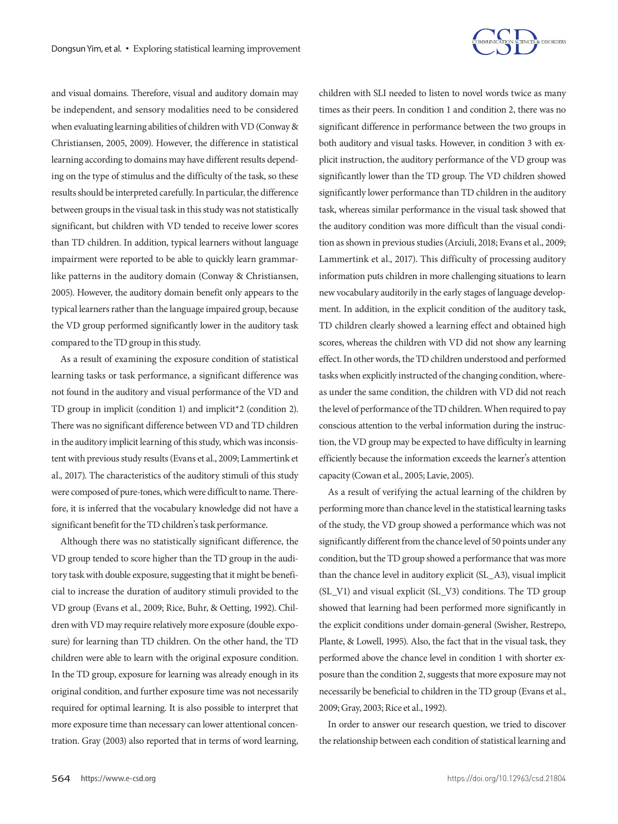

and visual domains. Therefore, visual and auditory domain may be independent, and sensory modalities need to be considered when evaluating learning abilities of children with VD (Conway & Christiansen, 2005, 2009). However, the difference in statistical learning according to domains may have different results depending on the type of stimulus and the difficulty of the task, so these results should be interpreted carefully. In particular, the difference between groups in the visual task in this study was not statistically significant, but children with VD tended to receive lower scores than TD children. In addition, typical learners without language impairment were reported to be able to quickly learn grammarlike patterns in the auditory domain (Conway & Christiansen, 2005). However, the auditory domain benefit only appears to the typical learners rather than the language impaired group, because the VD group performed significantly lower in the auditory task compared to the TD group in this study.

As a result of examining the exposure condition of statistical learning tasks or task performance, a significant difference was not found in the auditory and visual performance of the VD and TD group in implicit (condition 1) and implicit\*2 (condition 2). There was no significant difference between VD and TD children in the auditory implicit learning of this study, which was inconsistent with previous study results (Evans et al., 2009; Lammertink et al., 2017). The characteristics of the auditory stimuli of this study were composed of pure-tones, which were difficult to name. Therefore, it is inferred that the vocabulary knowledge did not have a significant benefit for the TD children's task performance.

Although there was no statistically significant difference, the VD group tended to score higher than the TD group in the auditory task with double exposure, suggesting that it might be beneficial to increase the duration of auditory stimuli provided to the VD group (Evans et al., 2009; Rice, Buhr, & Oetting, 1992). Children with VD may require relatively more exposure (double exposure) for learning than TD children. On the other hand, the TD children were able to learn with the original exposure condition. In the TD group, exposure for learning was already enough in its original condition, and further exposure time was not necessarily required for optimal learning. It is also possible to interpret that more exposure time than necessary can lower attentional concentration. Gray (2003) also reported that in terms of word learning,

children with SLI needed to listen to novel words twice as many times as their peers. In condition 1 and condition 2, there was no significant difference in performance between the two groups in both auditory and visual tasks. However, in condition 3 with explicit instruction, the auditory performance of the VD group was significantly lower than the TD group. The VD children showed significantly lower performance than TD children in the auditory task, whereas similar performance in the visual task showed that the auditory condition was more difficult than the visual condition as shown in previous studies (Arciuli, 2018; Evans et al., 2009; Lammertink et al., 2017). This difficulty of processing auditory information puts children in more challenging situations to learn new vocabulary auditorily in the early stages of language development. In addition, in the explicit condition of the auditory task, TD children clearly showed a learning effect and obtained high scores, whereas the children with VD did not show any learning effect. In other words, the TD children understood and performed tasks when explicitly instructed of the changing condition, whereas under the same condition, the children with VD did not reach the level of performance of the TD children. When required to pay conscious attention to the verbal information during the instruction, the VD group may be expected to have difficulty in learning efficiently because the information exceeds the learner's attention capacity (Cowan et al., 2005; Lavie, 2005).

As a result of verifying the actual learning of the children by performing more than chance level in the statistical learning tasks of the study, the VD group showed a performance which was not significantly different from the chance level of 50 points under any condition, but the TD group showed a performance that was more than the chance level in auditory explicit (SL\_A3), visual implicit (SL\_V1) and visual explicit (SL\_V3) conditions. The TD group showed that learning had been performed more significantly in the explicit conditions under domain-general (Swisher, Restrepo, Plante, & Lowell, 1995). Also, the fact that in the visual task, they performed above the chance level in condition 1 with shorter exposure than the condition 2, suggests that more exposure may not necessarily be beneficial to children in the TD group (Evans et al., 2009; Gray, 2003; Rice et al., 1992).

In order to answer our research question, we tried to discover the relationship between each condition of statistical learning and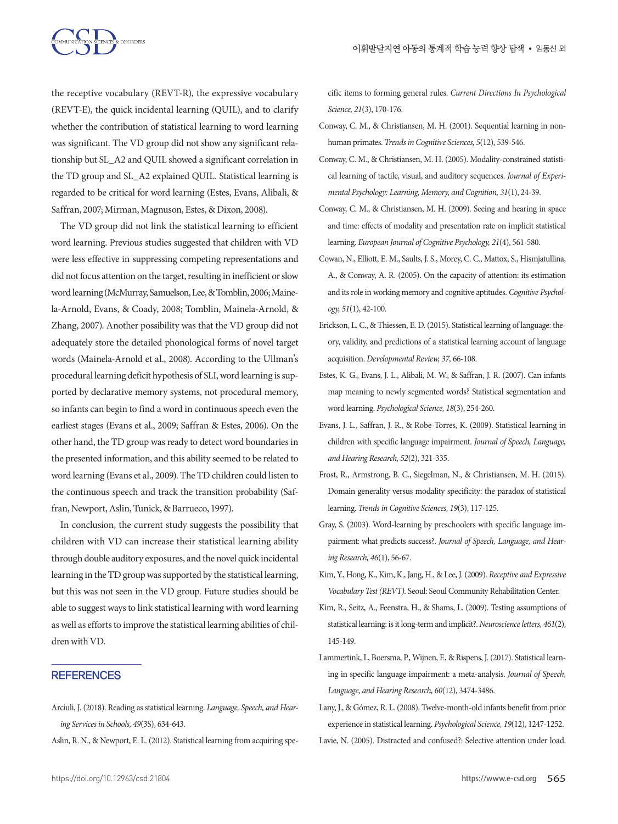the receptive vocabulary (REVT-R), the expressive vocabulary (REVT-E), the quick incidental learning (QUIL), and to clarify whether the contribution of statistical learning to word learning was significant. The VD group did not show any significant relationship but SL\_A2 and QUIL showed a significant correlation in the TD group and SL\_A2 explained QUIL. Statistical learning is regarded to be critical for word learning (Estes, Evans, Alibali, & Saffran, 2007; Mirman, Magnuson, Estes, & Dixon, 2008).

The VD group did not link the statistical learning to efficient word learning. Previous studies suggested that children with VD were less effective in suppressing competing representations and did not focus attention on the target, resulting in inefficient or slow word learning (McMurray, Samuelson, Lee, & Tomblin, 2006; Mainela-Arnold, Evans, & Coady, 2008; Tomblin, Mainela-Arnold, & Zhang, 2007). Another possibility was that the VD group did not adequately store the detailed phonological forms of novel target words (Mainela-Arnold et al., 2008). According to the Ullman's procedural learning deficit hypothesis of SLI, word learning is supported by declarative memory systems, not procedural memory, so infants can begin to find a word in continuous speech even the earliest stages (Evans et al., 2009; Saffran & Estes, 2006). On the other hand, the TD group was ready to detect word boundaries in the presented information, and this ability seemed to be related to word learning (Evans et al., 2009). The TD children could listen to the continuous speech and track the transition probability (Saffran, Newport, Aslin, Tunick, & Barrueco, 1997).

In conclusion, the current study suggests the possibility that children with VD can increase their statistical learning ability through double auditory exposures, and the novel quick incidental learning in the TD group was supported by the statistical learning, but this was not seen in the VD group. Future studies should be able to suggest ways to link statistical learning with word learning as well as efforts to improve the statistical learning abilities of children with VD.

## **REFERENCES**

- Arciuli, J. (2018). Reading as statistical learning. *Language, Speech, and Hearing Services in Schools, 49*(3S), 634-643.
- Aslin, R. N., & Newport, E. L. (2012). Statistical learning from acquiring spe-

cific items to forming general rules. *Current Directions In Psychological Science, 21*(3), 170-176.

- Conway, C. M., & Christiansen, M. H. (2001). Sequential learning in nonhuman primates. *Trends in Cognitive Sciences, 5*(12), 539-546.
- Conway, C. M., & Christiansen, M. H. (2005). Modality-constrained statistical learning of tactile, visual, and auditory sequences. *Journal of Experimental Psychology: Learning, Memory, and Cognition, 31*(1), 24-39.
- Conway, C. M., & Christiansen, M. H. (2009). Seeing and hearing in space and time: effects of modality and presentation rate on implicit statistical learning. *European Journal of Cognitive Psychology, 21*(4), 561-580.
- Cowan, N., Elliott, E. M., Saults, J. S., Morey, C. C., Mattox, S., Hismjatullina, A., & Conway, A. R. (2005). On the capacity of attention: its estimation and its role in working memory and cognitive aptitudes. *Cognitive Psychology, 51*(1), 42-100.
- Erickson, L. C., & Thiessen, E. D. (2015). Statistical learning of language: theory, validity, and predictions of a statistical learning account of language acquisition. *Developmental Review, 37,* 66-108.
- Estes, K. G., Evans, J. L., Alibali, M. W., & Saffran, J. R. (2007). Can infants map meaning to newly segmented words? Statistical segmentation and word learning. *Psychological Science, 18*(3), 254-260.
- Evans, J. L., Saffran, J. R., & Robe-Torres, K. (2009). Statistical learning in children with specific language impairment. *Journal of Speech, Language, and Hearing Research, 52*(2), 321-335.
- Frost, R., Armstrong, B. C., Siegelman, N., & Christiansen, M. H. (2015). Domain generality versus modality specificity: the paradox of statistical learning. *Trends in Cognitive Sciences, 19*(3), 117-125.
- Gray, S. (2003). Word-learning by preschoolers with specific language impairment: what predicts success?. *Journal of Speech, Language, and Hearing Research, 46*(1), 56-67.
- Kim, Y., Hong, K., Kim, K., Jang, H., & Lee, J. (2009). *Receptive and Expressive Vocabulary Test (REVT).* Seoul: Seoul Community Rehabilitation Center.
- Kim, R., Seitz, A., Feenstra, H., & Shams, L. (2009). Testing assumptions of statistical learning: is it long-term and implicit?. *Neuroscience letters, 461*(2), 145-149.
- Lammertink, I., Boersma, P., Wijnen, F., & Rispens, J. (2017). Statistical learning in specific language impairment: a meta-analysis. *Journal of Speech, Language, and Hearing Research, 60*(12), 3474-3486.
- Lany, J., & Gómez, R. L. (2008). Twelve-month-old infants benefit from prior experience in statistical learning. *Psychological Science, 19*(12), 1247-1252.
- Lavie, N. (2005). Distracted and confused?: Selective attention under load.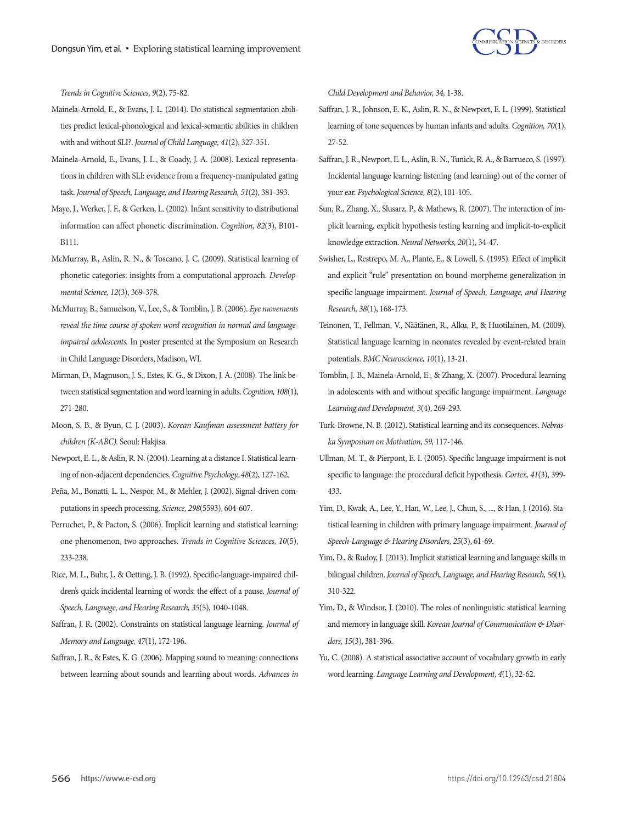

*Trends in Cognitive Sciences, 9*(2), 75-82.

- Mainela-Arnold, E., & Evans, J. L. (2014). Do statistical segmentation abilities predict lexical-phonological and lexical-semantic abilities in children with and without SLI?. *Journal of Child Language, 41*(2), 327-351.
- Mainela-Arnold, E., Evans, J. L., & Coady, J. A. (2008). Lexical representations in children with SLI: evidence from a frequency-manipulated gating task. *Journal of Speech, Language, and Hearing Research, 51*(2), 381-393.
- Maye, J., Werker, J. F., & Gerken, L. (2002). Infant sensitivity to distributional information can affect phonetic discrimination. *Cognition, 82*(3), B101- B111.
- McMurray, B., Aslin, R. N., & Toscano, J. C. (2009). Statistical learning of phonetic categories: insights from a computational approach. *Developmental Science, 12*(3), 369-378.
- McMurray, B., Samuelson, V., Lee, S., & Tomblin, J. B. (2006). *Eye movements reveal the time course of spoken word recognition in normal and languageimpaired adolescents.* In poster presented at the Symposium on Research in Child Language Disorders, Madison, WI.
- Mirman, D., Magnuson, J. S., Estes, K. G., & Dixon, J. A. (2008). The link between statistical segmentation and word learning in adults. *Cognition, 108*(1), 271-280.
- Moon, S. B., & Byun, C. J. (2003). *Korean Kaufman assessment battery for children (K-ABC).* Seoul: Hakjisa.
- Newport, E. L., & Aslin, R. N. (2004). Learning at a distance I. Statistical learning of non-adjacent dependencies. *Cognitive Psychology, 48*(2), 127-162.
- Peña, M., Bonatti, L. L., Nespor, M., & Mehler, J. (2002). Signal-driven computations in speech processing. *Science, 298*(5593), 604-607.
- Perruchet, P., & Pacton, S. (2006). Implicit learning and statistical learning: one phenomenon, two approaches. *Trends in Cognitive Sciences, 10*(5), 233-238.
- Rice, M. L., Buhr, J., & Oetting, J. B. (1992). Specific-language-impaired children's quick incidental learning of words: the effect of a pause. *Journal of Speech, Language, and Hearing Research, 35*(5), 1040-1048.
- Saffran, J. R. (2002). Constraints on statistical language learning. *Journal of Memory and Language, 47*(1), 172-196.
- Saffran, J. R., & Estes, K. G. (2006). Mapping sound to meaning: connections between learning about sounds and learning about words. *Advances in*

*Child Development and Behavior, 34,* 1-38.

- Saffran, J. R., Johnson, E. K., Aslin, R. N., & Newport, E. L. (1999). Statistical learning of tone sequences by human infants and adults. *Cognition, 70*(1), 27-52.
- Saffran, J. R., Newport, E. L., Aslin, R. N., Tunick, R. A., & Barrueco, S. (1997). Incidental language learning: listening (and learning) out of the corner of your ear. *Psychological Science, 8*(2), 101-105.
- Sun, R., Zhang, X., Slusarz, P., & Mathews, R. (2007). The interaction of implicit learning, explicit hypothesis testing learning and implicit-to-explicit knowledge extraction. *Neural Networks, 20*(1), 34-47.
- Swisher, L., Restrepo, M. A., Plante, E., & Lowell, S. (1995). Effect of implicit and explicit "rule" presentation on bound-morpheme generalization in specific language impairment. *Journal of Speech, Language, and Hearing Research, 38*(1), 168-173.
- Teinonen, T., Fellman, V., Näätänen, R., Alku, P., & Huotilainen, M. (2009). Statistical language learning in neonates revealed by event-related brain potentials. *BMC Neuroscience, 10*(1), 13-21.
- Tomblin, J. B., Mainela-Arnold, E., & Zhang, X. (2007). Procedural learning in adolescents with and without specific language impairment. *Language Learning and Development, 3*(4), 269-293.
- Turk-Browne, N. B. (2012). Statistical learning and its consequences. *Nebraska Symposium on Motivation, 59,* 117-146.
- Ullman, M. T., & Pierpont, E. I. (2005). Specific language impairment is not specific to language: the procedural deficit hypothesis. *Cortex, 41*(3), 399- 433.
- Yim, D., Kwak, A., Lee, Y., Han, W., Lee, J., Chun, S., ..., & Han, J. (2016). Statistical learning in children with primary language impairment. *Journal of Speech-Language & Hearing Disorders, 25*(3), 61-69.
- Yim, D., & Rudoy, J. (2013). Implicit statistical learning and language skills in bilingual children. *Journal of Speech, Language, and Hearing Research, 56*(1), 310-322.
- Yim, D., & Windsor, J. (2010). The roles of nonlinguistic statistical learning and memory in language skill. *Korean Journal of Communication & Disorders, 15*(3), 381-396.
- Yu, C. (2008). A statistical associative account of vocabulary growth in early word learning. *Language Learning and Development, 4*(1), 32-62.